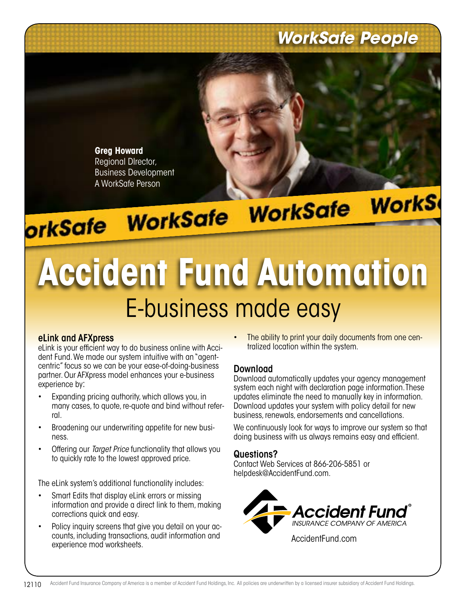### *WorkSafe People*



**Greg Howard** Regional DIrector, Business Development

# A WorkSafe Person<br>**OrkSafe WorkSafe WorkSafe WorkS**

## **Accident Fund Automation** E-business made easy

#### eLink and AFXpress

eLink is your efficient way to do business online with Accident Fund. We made our system intuitive with an "agentcentric" focus so we can be your ease-of-doing-business partner. Our AFXpress model enhances your e-business experience by:

- Expanding pricing authority, which allows you, in many cases, to quote, re-quote and bind without referral.
- Broadening our underwriting appetite for new business.
- Offering our *Target Price* functionality that allows you to quickly rate to the lowest approved price.

The eLink system's additional functionality includes:

- Smart Edits that display eLink errors or missing information and provide a direct link to them, making corrections quick and easy.
- Policy inquiry screens that give you detail on your accounts, including transactions, audit information and experience mod worksheets.

The ability to print your daily documents from one centralized location within the system.

#### Download

Download automatically updates your agency management system each night with declaration page information. These updates eliminate the need to manually key in information. Download updates your system with policy detail for new business, renewals, endorsements and cancellations.

We continuously look for ways to improve our system so that doing business with us always remains easy and efficient.

#### Questions?

Contact Web Services at 866-206-5851 or helpdesk@AccidentFund.com.